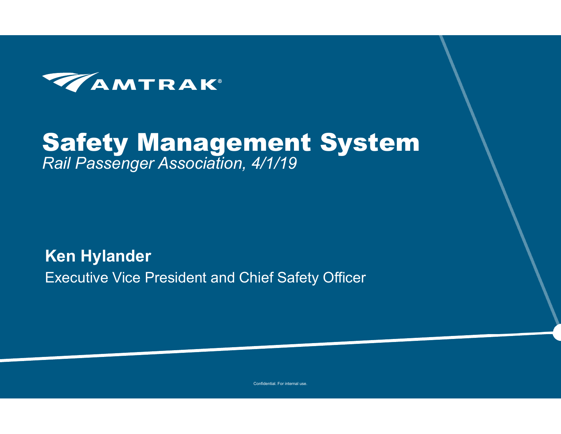

#### Safety Management System *Rail Passenger Association, 4/1/19*

**Ken Hylander** Executive Vice President and Chief Safety Officer

Confidential. For internal use.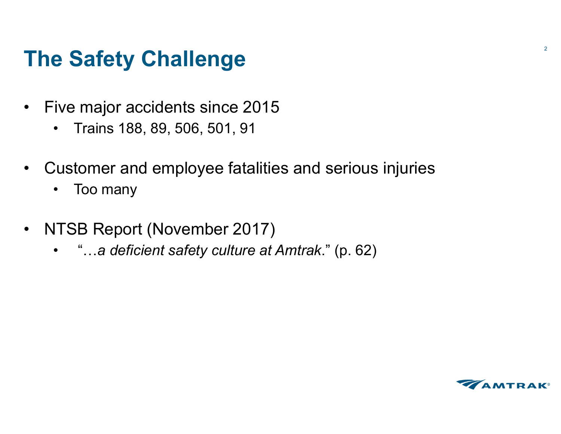#### **The Safety Challenge**

- $\bullet$  Five major accidents since 2015
	- $\bullet$ Trains 188, 89, 506, 501, 91
- $\bullet$  Customer and employee fatalities and serious injuries
	- $\bullet$ Too many
- $\bullet$  NTSB Report (November 2017)
	- "…*a deficient safety culture at Amtrak*." (p. 62)

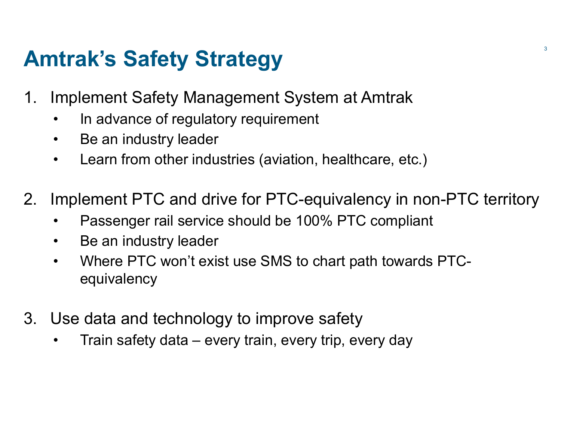### **Amtrak's Safety Strategy 3.1 Amtrak's Safety Strategy**

- 1. Implement Safety Management System at Amtrak
	- $\bullet$ In advance of regulatory requirement
	- $\bullet$ Be an industry leader
	- $\bullet$ Learn from other industries (aviation, healthcare, etc.)
- 2. Implement PTC and drive for PTC-equivalency in non-PTC territory
	- •Passenger rail service should be 100% PTC compliant
	- •Be an industry leader
	- $\bullet$  Where PTC won't exist use SMS to chart path towards PTCequivalency
- 3. Use data and technology to improve safety
	- $\bullet$ Train safety data – every train, every trip, every day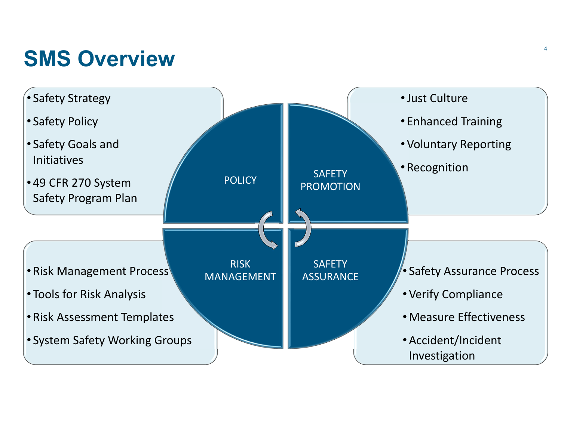#### **SMS Overview** $\mathbf W$

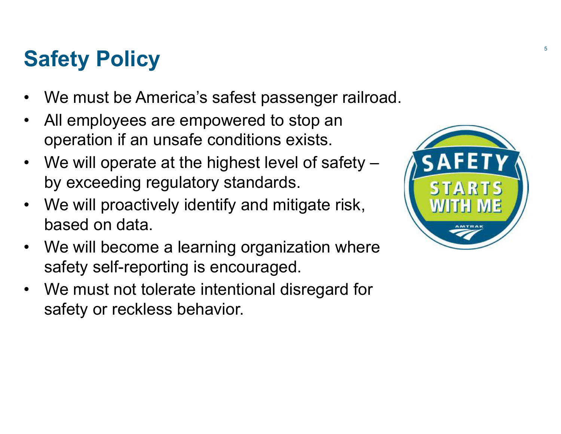# **Safety Policy** 5. The set of  $\mathbb{R}^5$

- $\bullet$ We must be America's safest passenger railroad.
- $\bullet$  All employees are empowered to stop an operation if an unsafe conditions exists.
- $\bullet$ We will operate at the highest level of safety – by exceeding regulatory standards.
- $\bullet$  We will proactively identify and mitigate risk, based on data.
- $\bullet$  We will become a learning organization where safety self-reporting is encouraged.
- • We must not tolerate intentional disregard for safety or reckless behavior.

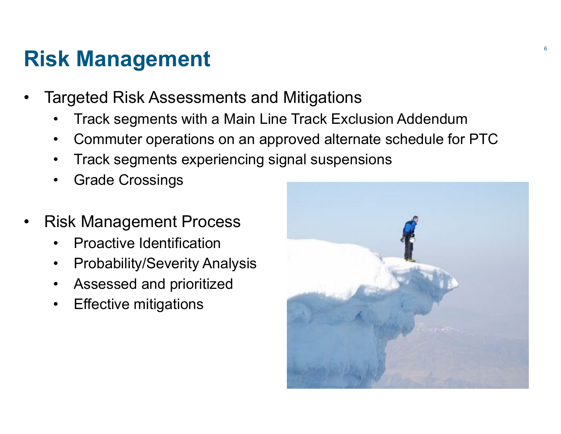#### **Risk Management**

- • Targeted Risk Assessments and Mitigations
	- •Track segments with a Main Line Track Exclusion Addendum
	- •Commuter operations on an approved alternate schedule for PTC
	- •Track segments experiencing signal suspensions
	- •Grade Crossings
- • Risk Management Process
	- •Proactive Identification
	- •Probability/Severity Analysis
	- •Assessed and prioritized
	- $\bullet$ Effective mitigations

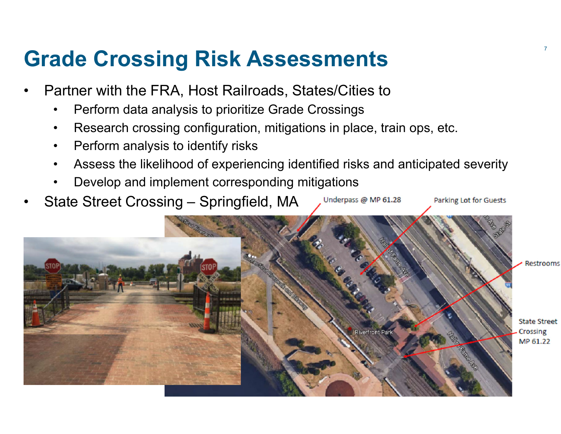#### **Grade Crossing Risk Assessments** <sup>7</sup>

- • Partner with the FRA, Host Railroads, States/Cities to
	- •Perform data analysis to prioritize Grade Crossings
	- •Research crossing configuration, mitigations in place, train ops, etc.
	- •Perform analysis to identify risks
	- •Assess the likelihood of experiencing identified risks and anticipated severity

Underpass @ MP 61.28

- •Develop and implement corresponding mitigations
- •State Street Crossing – Springfield, MA



Parking Lot for Guests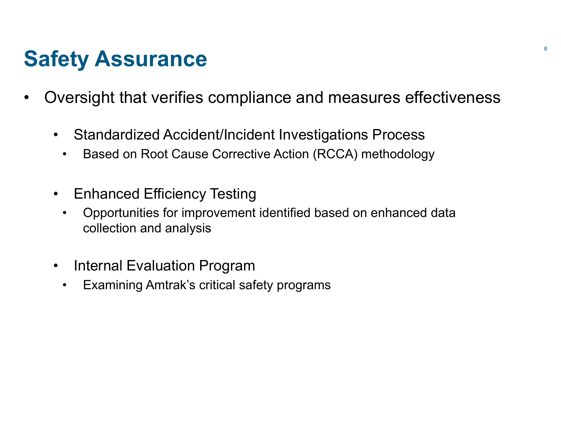#### **Safety Assurance** 8 and 8 and 8 and 8 and 8 and 8 and 8 and 8 and 8 and 8 and 8 and 8 and 8 and 8 and 8 and 8 and 8 and 8 and 8 and 8 and 8 and 8 and 8 and 8 and 8 and 8 and 8 and 8 and 8 and 8 and 8 and 8 and 8 and 8 and

- $\bullet$  Oversight that verifies compliance and measures effectiveness
	- $\bullet$  Standardized Accident/Incident Investigations Process
		- $\bullet$ Based on Root Cause Corrective Action (RCCA) methodology
	- • Enhanced Efficiency Testing
		- • Opportunities for improvement identified based on enhanced data collection and analysis
	- $\bullet$  Internal Evaluation Program
		- •Examining Amtrak's critical safety programs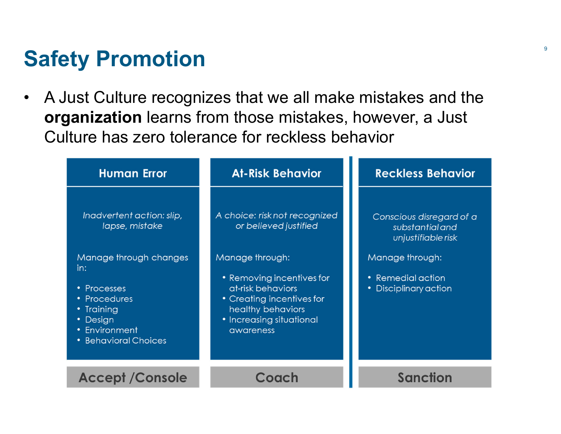#### **Safety Promotion**

 $\bullet$  A Just Culture recognizes that we all make mistakes and the **organization** learns from those mistakes, however, a Just Culture has zero tolerance for reckless behavior

| <b>Human Error</b>                                                                                                              | <b>At-Risk Behavior</b>                                                                                                                                      | <b>Reckless Behavior</b>                                          |
|---------------------------------------------------------------------------------------------------------------------------------|--------------------------------------------------------------------------------------------------------------------------------------------------------------|-------------------------------------------------------------------|
| Inadvertent action: slip,<br>lapse, mistake                                                                                     | A choice: risk not recognized<br>or believed justified                                                                                                       | Conscious disregard of a<br>substantial and<br>unjustifiable risk |
| Manage through changes<br>in:<br>• Processes<br>• Procedures<br>• Training<br>• Design<br>• Environment<br>• Behavioral Choices | Manage through:<br>• Removing incentives for<br>at-risk behaviors<br>• Creating incentives for<br>healthy behaviors<br>• Increasing situational<br>awareness | Manage through:<br>• Remedial action<br>• Disciplinary action     |
| <b>Accept / Console</b>                                                                                                         | Coach                                                                                                                                                        | Sanction                                                          |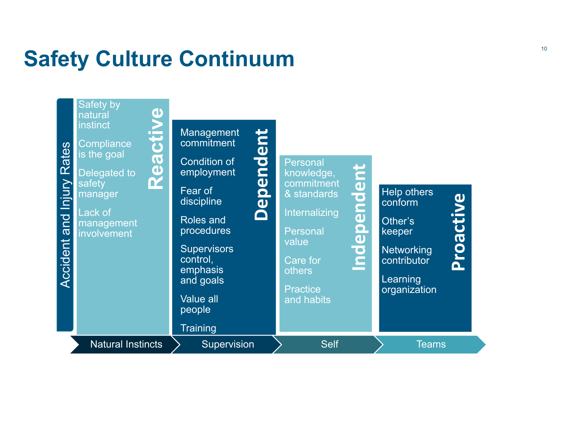## **Safety Culture Continuum**

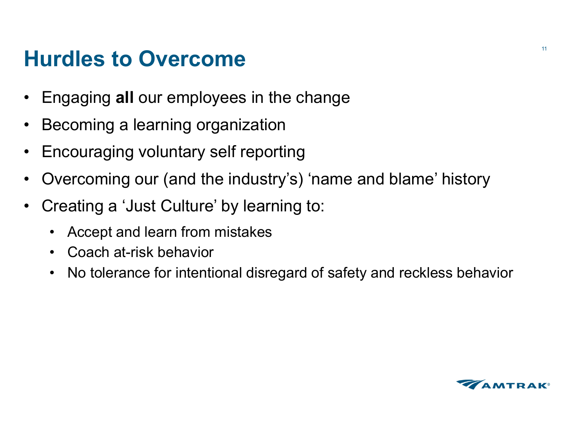#### **Hurdles to Overcome**

- $\bullet$ Engaging **all** our employees in the change
- •Becoming a learning organization
- $\bullet$ Encouraging voluntary self reporting
- $\bullet$ Overcoming our (and the industry's) 'name and blame' history
- $\bullet$  Creating a 'Just Culture' by learning to:
	- •Accept and learn from mistakes
	- Coach at-risk behavior
	- •No tolerance for intentional disregard of safety and reckless behavior

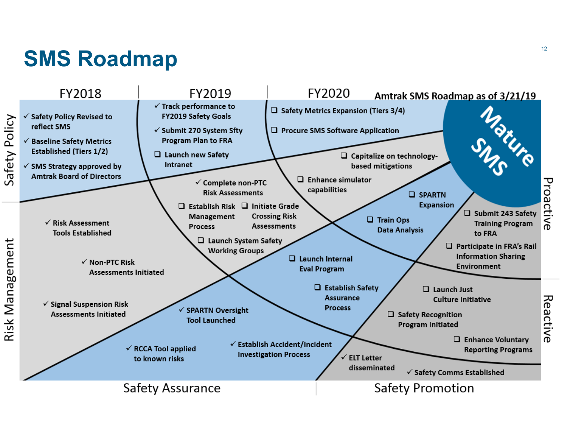# **SMS Roadmap** <sup>12</sup>